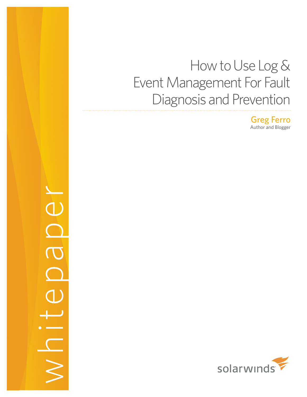# How to Use Log & Event Management For Fault Diagnosis and Prevention

Greg Ferro Author and Blogger

whitepaper  $\bigcirc$  $\overline{\mathrm{C}}$ 

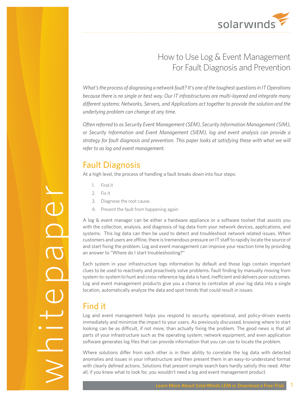

## How to Use Log & Event Management For Fault Diagnosis and Prevention

*What's the process of diagnosing a network fault? It's one of the toughest questions in IT Operations because there is no single or best way. Our IT infrastructures are multi-layered and integrate many different systems: Networks, Servers, and Applications act together to provide the solution and the underlying problem can change at any time.* 

*Often referred to as Security Event Management (SEM), Security Information Management (SIM), or Security Information and Event Management (SIEM), log and event analysis can provide a strategy for fault diagnosis and prevention. This paper looks at satisfying these with what we will refer to as log and event management.*

#### Fault Diagnosis

At a high level, the process of handling a fault breaks down into four steps:

- 1. Find it
- 2. Fix it
- 3. Diagnose the root cause.
- 4. Prevent the fault from happening again

A log & event manager can be either a hardware appliance or a software toolset that assists you with the collection, analysis, and diagnosis of log data from your network devices, applications, and systems. This log data can then be used to detect and troubleshoot network related issues. When customers and users are offline, there is tremendous pressure on IT staff to rapidly locate the source of and start fixing the problem. Log and event management can improve your reaction time by providing an answer to "Where do I start troubleshooting?"

Each system in your infrastructure logs information by default and those logs contain important clues to be used to reactively and proactively solve problems. Fault finding by manually moving from system-to-system to hunt and cross-reference log data is hard, inefficient and delivers poor outcomes. Log and event management products give you a chance to centralize all your log data into a single location, automatically analyze the data and spot trends that could result in issues.

## Find it

Log and event management helps you respond to security, operational, and policy-driven events immediately and minimize the impact to your users. As previously discussed, knowing where to start looking can be as difficult, if not more, than actually fixing the problem. The good news is that all parts of your infrastructure such as the operating system, network equipment, and even application software generates log files that can provide information that you can use to locate the problem.

Where solutions differ from each other is in their ability to correlate the log data with detected anomalies and issues in your infrastructure and then present them in an easy-to-understand format with clearly defined actions. Solutions that present simple search bars hardly satisfy this need. After all, if you knew what to look for, you wouldn't need a log and event management product.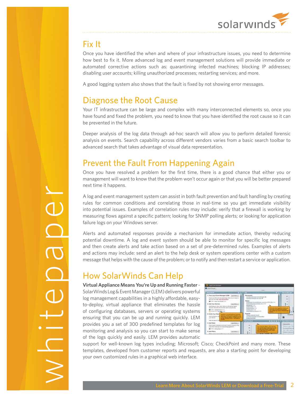

# Fix It

Once you have identified the when and where of your infrastructure issues, you need to determine how best to fix it. More advanced log and event management solutions will provide immediate or automated corrective actions such as: quarantining infected machines; blocking IP addresses; disabling user accounts; killing unauthorized processes; restarting services; and more.

A good logging system also shows that the fault is fixed by not showing error messages.

#### Diagnose the Root Cause

Your IT infrastructure can be large and complex with many interconnected elements so, once you have found and fixed the problem, you need to know that you have identified the root cause so it can be prevented in the future.

Deeper analysis of the log data through ad-hoc search will allow you to perform detailed forensic analysis on events. Search capability across different vendors varies from a basic search toolbar to advanced search that takes advantage of visual data representation.

## Prevent the Fault From Happening Again

Once you have resolved a problem for the first time, there is a good chance that either you or management will want to know that the problem won't occur again or that you will be better prepared next time it happens.

A log and event management system can assist in both fault prevention and fault handling by creating rules for common conditions and correlating those in real-time so you get immediate visibility into potential issues. Examples of correlation rules may include: verify that a firewall is working by measuring flows against a specific pattern; looking for SNMP polling alerts; or looking for application failure logs on your Windows server.

Alerts and automated responses provide a mechanism for immediate action, thereby reducing potential downtime. A log and event system should be able to monitor for specific log messages and then create alerts and take action based on a set of pre-determined rules. Examples of alerts and actions may include: send an alert to the help desk or system operations center with a custom message that helps with the cause of the problem; or to notify and then restart a service or application.

# How SolarWinds Can Help

**Virtual Appliance Means You're Up and Running Faster** - SolarWinds Log & Event Manager (LEM) delivers powerful log management capabilities in a highly affordable, easyto-deploy, virtual appliance that eliminates the hassle of configuring databases, servers or operating systems ensuring that you can be up and running quickly. LEM provides you a set of 300 predefined templates for log monitoring and analysis so you can start to make sense of the logs quickly and easily. LEM provides automatic



support for well-known log types including; Microsoft; Cisco; CheckPoint and many more. These templates, developed from customer reports and requests, are also a starting point for developing your own customized rules in a graphical web interface.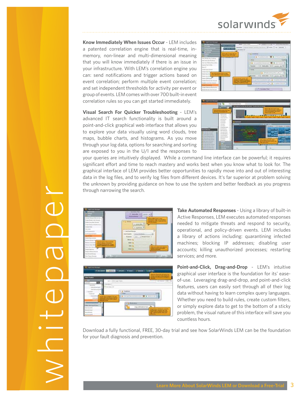

**Know Immediately When Issues Occur** - LEM includes a patented correlation engine that is real-time, inmemory, non-linear and multi-dimensional meaning that you will know immediately if there is an issue in your infrastructure. With LEM's correlation engine you can: send notifications and trigger actions based on event correlation; perform multiple event correlation; and set independent thresholds for activity per event or group of events. LEM comes with over 700 built-in event correlation rules so you can get started immediately.

**Visual Search For Quicker Troubleshooting** - LEM's advanced IT search functionality is built around a point-and-click graphical web interface that allows you to explore your data visually using word clouds, tree maps, bubble charts, and histograms. As you move through your log data, options for searching and sorting are exposed to you in the U/I and the responses to





your queries are intuitively displayed. While a command line interface can be powerful; it requires significant effort and time to reach mastery and works best when you know what to look for. The graphical interface of LEM provides better opportunities to rapidly move into and out of interesting data in the log files, and to verify log files from different devices. It's far superior at problem solving the unknown by providing guidance on how to use the system and better feedback as you progress through narrowing the search.





**Take Automated Responses** - Using a library of built-in Active Responses, LEM executes automated responses needed to mitigate threats and respond to security, operational, and policy-driven events. LEM includes a library of actions including: quarantining infected machines; blocking IP addresses; disabling user accounts; killing unauthorized processes; restarting services; and more.

**Point-and-Click, Drag-and-Drop** - LEM's intuitive graphical user interface is the foundation for its' easeof-use. Leveraging drag-and-drop, and point-and-click features, users can easily sort through all of their log data without having to learn complex query languages. Whether you need to build rules, create custom filters, or simply explore data to get to the bottom of a sticky problem, the visual nature of this interface will save you countless hours.

Download a fully functional, FREE, 30-day trial and see how SolarWinds LEM can be the foundation for your fault diagnosis and prevention.

whitepaper  $\overline{\overline{}}$